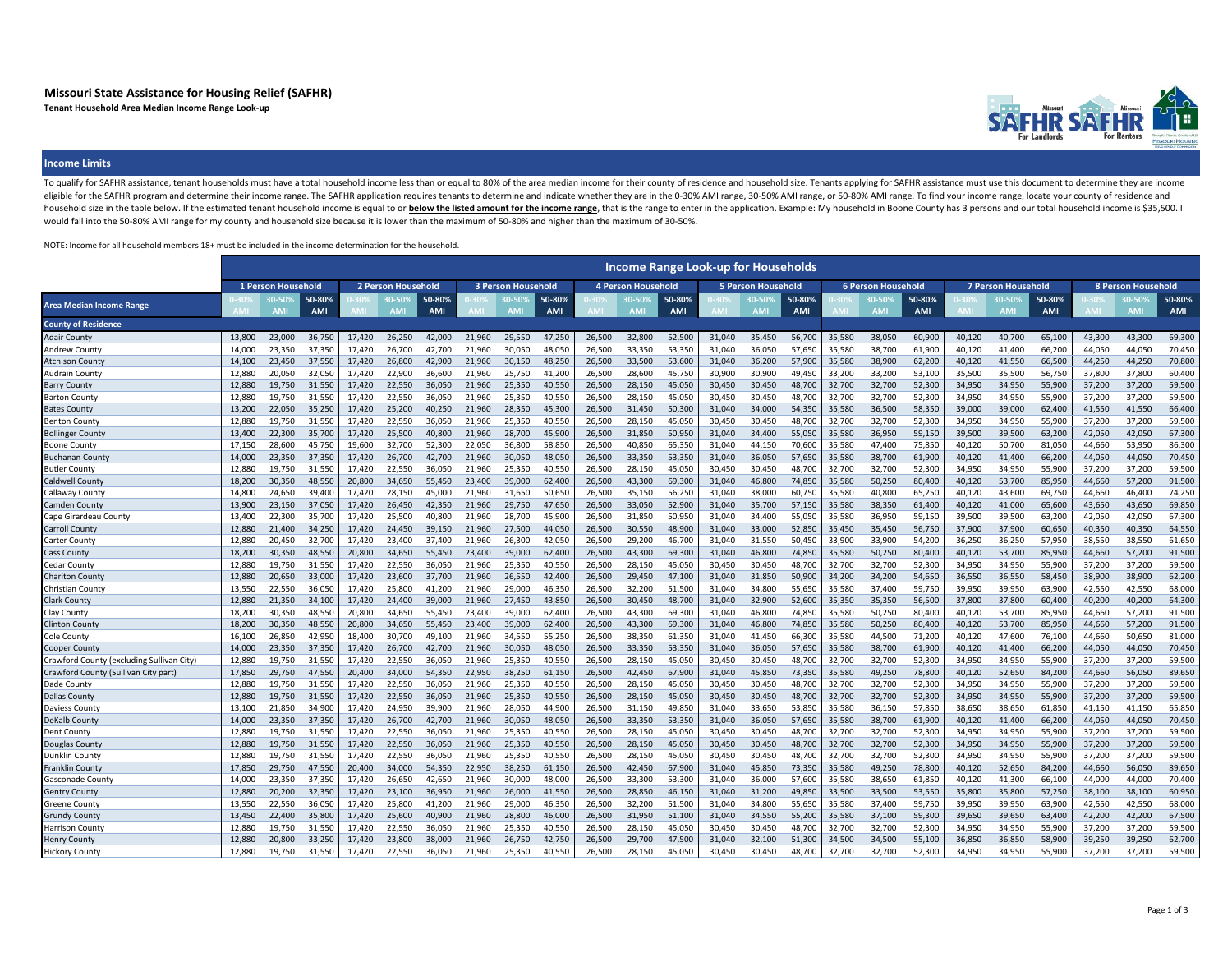# **Missouri State Assistance for Housing Relief (SAFHR)**

**Tenant Household Area Median Income Range Look-up**



### **Income Limits**

To qualify for SAFHR assistance, tenant households must have a total household income less than or equal to 80% of the area median income for their county of residence and household size. Tenants applying for SAFHR assista eligible for the SAFHR program and determine their income range. The SAFHR application requires tenants to determine and indicate whether they are in the 0-30% AMI range, 30-50% AMI range, or 50-80% AMI range. To find your household size in the table below. If the estimated tenant household income is equal to or below the listed amount for the income range, that is the range to enter in the application. Example: My household in Boone County would fall into the 50-80% AMI range for my county and household size because it is lower than the maximum of 50-80% and higher than the maximum of 30-50%.

NOTE: Income for all household members 18+ must be included in the income determination for the household.

|                                           |                    |                    |                      |                           |                    |                      |                           |           |                      |        |                           |                      | <b>Income Range Look-up for Households</b> |                      |                      |                           |                     |               |                           |                    |                      |                           |           |               |
|-------------------------------------------|--------------------|--------------------|----------------------|---------------------------|--------------------|----------------------|---------------------------|-----------|----------------------|--------|---------------------------|----------------------|--------------------------------------------|----------------------|----------------------|---------------------------|---------------------|---------------|---------------------------|--------------------|----------------------|---------------------------|-----------|---------------|
|                                           | 1 Person Household |                    |                      | <b>2 Person Household</b> |                    |                      | <b>3 Person Household</b> |           |                      |        | <b>4 Person Household</b> |                      | <b>5 Person Household</b>                  |                      |                      | <b>6 Person Household</b> |                     |               | <b>7 Person Household</b> |                    |                      | <b>8 Person Household</b> |           |               |
| Area Median Income Range                  |                    | 0-50<br><b>AMI</b> | 50-80%<br><b>AMI</b> |                           | n En<br><b>AMI</b> | 50-80%<br><b>AMI</b> |                           | <b>AM</b> | 50-80%<br><b>AMI</b> |        | 30-50<br><b>AMI</b>       | 50-80%<br><b>AMI</b> |                                            | 30-509<br><b>AMI</b> | 50-80%<br><b>AMI</b> |                           | เก.รก<br><b>AMI</b> | 50-80%<br>AMI |                           | 0-50<br><b>AMI</b> | 50-80%<br><b>AMI</b> |                           | <b>AN</b> | 50-80%<br>AMI |
| <b>County of Residence</b>                |                    |                    |                      |                           |                    |                      |                           |           |                      |        |                           |                      |                                            |                      |                      |                           |                     |               |                           |                    |                      |                           |           |               |
| <b>Adair County</b>                       | 13,800             | 23,000             | 36,750               | 17,420                    | 26,250             | 42,000               | 21,960                    | 29,550    | 47,250               | 26,500 | 32,800                    | 52,500               | 31,040                                     | 35,450               | 56,700               | 35,580                    | 38,050              | 60,900        | 40,120                    | 40,700             | 65,100               | 43,300                    | 43,300    | 69,300        |
| <b>Andrew County</b>                      | 14,000             | 23,350             | 37,350               | 17,420                    | 26,700             | 42,700               | 21,960                    | 30,050    | 48,050               | 26,500 | 33,350                    | 53,350               | 31,040                                     | 36,050               | 57,650               | 35,580                    | 38,700              | 61,900        | 40,120                    | 41,400             | 66,200               | 44,050                    | 44,050    | 70,450        |
| Atchison Count <sup>,</sup>               | 14.100             | 23,450             | 37,550               | 17,420                    | 26,800             | 42,900               | 21,960                    | 30,150    | 48,250               | 26,500 | 33,500                    | 53,600               | 31,040                                     | 36,200               | 57,900               | 35,580                    | 38,900              | 62,200        | 40,120                    | 41,550             | 66,500               | 44,250                    | 44.250    | 70,800        |
| Audrain County                            | 12,880             | 20,050             | 32,050               | 17,420                    | 22,900             | 36,600               | 21,960                    | 25,750    | 41,200               | 26,500 | 28,600                    | 45,750               | 30,900                                     | 30,900               | 49,450               | 33,200                    | 33,200              | 53,100        | 35,500                    | 35,500             | 56,750               | 37,800                    | 37,800    | 60,400        |
| Barry County                              | 12,880             | 19,750             | 31,550               | 17,420                    | 22,550             | 36,050               | 21,960                    | 25,350    | 40,550               | 26,500 | 28,150                    | 45,050               | 30,450                                     | 30,450               | 48,700               | 32,700                    | 32,700              | 52,300        | 34,950                    | 34,950             | 55,900               | 37,200                    | 37,200    | 59,500        |
| Barton County                             | 12,880             | 19,750             | 31,550               | 17,420                    | 22,550             | 36,050               | 21,960                    | 25,350    | 40,550               | 26,500 | 28,150                    | 45,050               | 30,450                                     | 30,450               | 48,700               | 32,700                    | 32,700              | 52,300        | 34,950                    | 34,950             | 55,900               | 37,200                    | 37,200    | 59,500        |
| Bates Count                               | 13,200             | 22,050             | 35,250               | 17,420                    | 25,200             | 40,250               | 21,960                    | 28,350    | 45,300               | 26,500 | 31,450                    | 50,300               | 31,040                                     | 34,000               | 54,350               | 35,580                    | 36,500              | 58,350        | 39,000                    | 39,000             | 62,400               | 41,550                    | 41,550    | 66,400        |
| Benton County                             | 12.880             | 19,750             | 31.550               | 17.420                    | 22,550             | 36,050               | 21.960                    | 25,350    | 40,550               | 26,500 | 28,150                    | 45,050               | 30,450                                     | 30,450               | 48,700               | 32,700                    | 32,700              | 52,300        | 34.950                    | 34,950             | 55,900               | 37,200                    | 37.200    | 59,500        |
| Bollinger Count <sup>.</sup>              | 13.400             | 22,300             | 35,700               | 17.420                    | 25,500             | 40,800               | 21,960                    | 28,700    | 45,900               | 26,500 | 31,850                    | 50,950               | 31,040                                     | 34,400               | 55,050               | 35,580                    | 36,950              | 59,150        | 39,500                    | 39,500             | 63,200               | 42.050                    | 42,050    | 67,300        |
| Boone County                              | 17.150             | 28,600             | 45,750               | 19,600                    | 32,700             | 52,300               | 22,050                    | 36,800    | 58,850               | 26,500 | 40,850                    | 65,350               | 31,040                                     | 44,150               | 70,600               | 35,580                    | 47,400              | 75,850        | 40,120                    | 50,700             | 81,050               | 44,660                    | 53,950    | 86,300        |
| <b>Buchanan Count</b>                     | 14,000             | 23,350             | 37,350               | 17,420                    | 26,700             | 42,700               | 21,960                    | 30,050    | 48,050               | 26,500 | 33,350                    | 53,350               | 31,040                                     | 36,050               | 57,650               | 35,580                    | 38,700              | 61,900        | 40,120                    | 41,400             | 66,200               | 44,050                    | 44,050    | 70,450        |
| <b>Butler County</b>                      | 12,880             | 19,750             | 31,550               | 17,420                    | 22,550             | 36,050               | 21,960                    | 25,350    | 40,550               | 26,500 | 28,150                    | 45,050               | 30,450                                     | 30,450               | 48,700               | 32,700                    | 32,700              | 52,300        | 34,950                    | 34,950             | 55,900               | 37,200                    | 37,200    | 59,500        |
| Caldwell County                           | 18.200             | 30.350             | 48.550               | 20.800                    | 34.650             | 55,450               | 23,400                    | 39.000    | 62,400               | 26,500 | 43,300                    | 69,300               | 31.040                                     | 46,800               | 74,850               | 35,580                    | 50,250              | 80,400        | 40.120                    | 53,700             | 85,950               | 44.660                    | 57.200    | 91,500        |
| Callaway Count                            | 14,800             | 24,650             | 39,400               | 17,420                    | 28,150             | 45,000               | 21,960                    | 31,650    | 50,650               | 26,500 | 35,150                    | 56,250               | 31,040                                     | 38,000               | 60,750               | 35,580                    | 40,800              | 65,250        | 40,120                    | 43,600             | 69,750               | 44,660                    | 46,400    | 74,250        |
| Camden Count                              | 13.900             | 23.150             | 37,050               | 17,420                    | 26,450             | 42,350               | 21,960                    | 29,750    | 47,650               | 26,500 | 33,050                    | 52,900               | 31.040                                     | 35,700               | 57,150               | 35,580                    | 38,350              | 61,400        | 40,120                    | 41.000             | 65,600               | 43,650                    | 43.650    | 69,850        |
| Cape Girardeau County                     | 13.400             | 22,300             | 35,700               | 17,420                    | 25,500             | 40,800               | 21,960                    | 28,700    | 45,900               | 26,500 | 31,850                    | 50,950               | 31,040                                     | 34,400               | 55,050               | 35,580                    | 36,950              | 59,150        | 39,500                    | 39,500             | 63,200               | 42,050                    | 42,050    | 67,300        |
| Carroll Count                             | 12.880             | 21,400             | 34,250               | 17,420                    | 24,450             | 39,150               | 21,960                    | 27,500    | 44,050               | 26,500 | 30,550                    | 48,900               | 31,040                                     | 33,000               | 52,850               | 35,450                    | 35,450              | 56,750        | 37,900                    | 37,900             | 60,650               | 40,350                    | 40,350    | 64,550        |
| Carter County                             | 12.880             | 20,450             | 32,700               | 17,420                    | 23,400             | 37,400               | 21,960                    | 26,300    | 42,050               | 26,500 | 29,200                    | 46,700               | 31,040                                     | 31,550               | 50,450               | 33,900                    | 33,900              | 54.200        | 36,250                    | 36,250             | 57,950               | 38,550                    | 38,550    | 61,650        |
| Cass Count                                | 18.200             | 30.350             | 48.550               | 20.800                    | 34,650             | 55,450               | 23,400                    | 39,000    | 62,400               | 26,500 | 43,300                    | 69,300               | 31.040                                     | 46,800               | 74,850               | 35,580                    | 50,250              | 80,400        | 40.120                    | 53,700             | 85,950               | 44,660                    | 57.200    | 91,500        |
| Cedar Count <sup>.</sup>                  | 12.880             | 19.750             | 31.550               | 17,420                    | 22,550             | 36,050               | 21,960                    | 25,350    | 40,550               | 26,500 | 28,150                    | 45,050               | 30,450                                     | 30,450               | 48,700               | 32,700                    | 32,700              | 52,300        | 34,950                    | 34,950             | 55,900               | 37,200                    | 37,200    | 59,500        |
| Chariton Count <sup>,</sup>               | 12.880             | 20,650             | 33,000               | 17,420                    | 23,600             | 37,700               | 21,960                    | 26,550    | 42,400               | 26,500 | 29,450                    | 47,100               | 31,040                                     | 31,850               | 50,900               | 34,200                    | 34,200              | 54,650        | 36,550                    | 36,550             | 58,450               | 38,900                    | 38,900    | 62,200        |
| Christian Count                           | 13,550             | 22,550             | 36,050               | 17,420                    | 25,800             | 41,200               | 21,960                    | 29,000    | 46,350               | 26,500 | 32,200                    | 51,500               | 31,040                                     | 34,800               | 55,650               | 35,580                    | 37,400              | 59,750        | 39,950                    | 39,950             | 63,900               | 42,550                    | 42,550    | 68,000        |
| Clark Count                               | 12.880             | 21,350             | 34,100               | 17,420                    | 24,400             | 39,000               | 21.960                    | 27,450    | 43.850               | 26,500 | 30,450                    | 48,700               | 31.040                                     | 32,900               | 52,600               | 35,350                    | 35,350              | 56,500        | 37.800                    | 37,800             | 60,400               | 40.200                    | 40.200    | 64,300        |
| Clay County                               | 18.200             | 30.350             | 48.550               | 20,800                    | 34,650             | 55,450               | 23,400                    | 39,000    | 62,400               | 26,500 | 43,300                    | 69,300               | 31,040                                     | 46,800               | 74.850               | 35,580                    | 50,250              | 80,400        | 40,120                    | 53,700             | 85,950               | 44,660                    | 57.200    | 91,500        |
| <b>Clinton County</b>                     | 18,200             | 30,350             | 48,550               | 20,800                    | 34,650             | 55,450               | 23,400                    | 39,000    | 62,400               | 26,500 | 43,300                    | 69,300               | 31,040                                     | 46,800               | 74,850               | 35,580                    | 50,250              | 80,400        | 40,120                    | 53,700             | 85,950               | 44,660                    | 57,200    | 91,500        |
| Cole Count                                | 16,100             | 26,850             | 42,950               | 18,400                    | 30,700             | 49,100               | 21,960                    | 34,550    | 55,250               | 26,500 | 38,350                    | 61,350               | 31,040                                     | 41,450               | 66,300               | 35,580                    | 44,500              | 71,200        | 40,120                    | 47,600             | 76,100               | 44,660                    | 50,650    | 81,000        |
| Cooper County                             | 14,000             | 23,350             | 37,350               | 17,420                    | 26,700             | 42,700               | 21,960                    | 30,050    | 48,050               | 26,500 | 33,350                    | 53,350               | 31,040                                     | 36,050               | 57,650               | 35,580                    | 38,700              | 61,900        | 40,120                    | 41,400             | 66,200               | 44,050                    | 44,050    | 70,450        |
| Crawford County (excluding Sullivan City) | 12.880             | 19,750             | 31,550               | 17,420                    | 22,550             | 36,050               | 21,960                    | 25,350    | 40,550               | 26,500 | 28,150                    | 45,050               | 30.450                                     | 30,450               | 48,700               | 32,700                    | 32,700              | 52,300        | 34.950                    | 34,950             | 55,900               | 37,200                    | 37.200    | 59,500        |
| Crawford County (Sullivan City part       | 17,850             | 29,750             | 47,550               | 20,400                    | 34,000             | 54,350               | 22,950                    | 38,250    | 61,150               | 26,500 | 42,450                    | 67,900               | 31,040                                     | 45,850               | 73,350               | 35,580                    | 49,250              | 78,800        | 40,120                    | 52,650             | 84,200               | 44.660                    | 56,050    | 89,650        |
| Dade County                               | 12,880             | 19,750             | 31,550               | 17,420                    | 22,550             | 36,050               | 21,960                    | 25,350    | 40,550               | 26,500 | 28,150                    | 45,050               | 30,450                                     | 30,450               | 48,700               | 32,700                    | 32,700              | 52,300        | 34,950                    | 34,950             | 55,900               | 37,200                    | 37,200    | 59,500        |
| Dallas County                             | 12,880             | 19,750             | 31,550               | 17,420                    | 22,550             | 36,050               | 21,960                    | 25,350    | 40,550               | 26,500 | 28,150                    | 45,050               | 30,450                                     | 30,450               | 48,700               | 32,700                    | 32,700              | 52,300        | 34,950                    | 34,950             | 55,900               | 37,200                    | 37,200    | 59,500        |
| Daviess Count                             | 13.100             | 21,850             | 34,900               | 17,420                    | 24,950             | 39,900               | 21,960                    | 28,050    | 44,900               | 26,500 | 31,150                    | 49,850               | 31,040                                     | 33,650               | 53,850               | 35,580                    | 36,150              | 57,850        | 38,650                    | 38,650             | 61,850               | 41,150                    | 41,150    | 65,850        |
| DeKalb County                             | 14.000             | 23,350             | 37,350               | 17.420                    | 26,700             | 42,700               | 21.960                    | 30,050    | 48,050               | 26,500 | 33,350                    | 53,350               | 31,040                                     | 36,050               | 57,650               | 35,580                    | 38,700              | 61,900        | 40,120                    | 41,400             | 66,200               | 44.050                    | 44.050    | 70,450        |
| Dent Count                                | 12.880             | 19.750             | 31.550               | 17.420                    | 22.550             | 36,050               | 21.960                    | 25,350    | 40,550               | 26.500 | 28,150                    | 45.050               | 30.450                                     | 30,450               | 48.700               | 32,700                    | 32.700              | 52,300        | 34.950                    | 34.950             | 55,900               | 37.200                    | 37.200    | 59,500        |
| Douglas County                            | 12.880             | 19,750             | 31,550               | 17,420                    | 22,550             | 36,050               | 21,960                    | 25,350    | 40,550               | 26,500 | 28,150                    | 45,050               | 30,450                                     | 30,450               | 48,700               | 32,700                    | 32,700              | 52,300        | 34,950                    | 34,950             | 55,900               | 37,200                    | 37,200    | 59,500        |
| Junklin County                            | 12.880             | 19,750             | 31,550               | 17,420                    | 22,550             | 36,050               | 21,960                    | 25,350    | 40,550               | 26,500 | 28,150                    | 45,050               | 30.450                                     | 30,450               | 48,700               | 32,700                    | 32,700              | 52,300        | 34,950                    | 34,950             | 55,900               | 37,200                    | 37,200    | 59,500        |
| Franklin County                           | 17,850             | 29,750             | 47,550               | 20,400                    | 34,000             | 54,350               | 22,950                    | 38,250    | 61,150               | 26,500 | 42,450                    | 67,900               | 31,040                                     | 45,850               | 73,350               | 35,580                    | 49,250              | 78,800        | 40,120                    | 52,650             | 84,200               | 44,660                    | 56,050    | 89,650        |
| Gasconade County                          | 14.000             | 23.350             | 37.350               | 17.420                    | 26,650             | 42,650               | 21,960                    | 30.000    | 48,000               | 26,500 | 33,300                    | 53.300               | 31.040                                     | 36,000               | 57,600               | 35,580                    | 38,650              | 61.850        | 40.120                    | 41.300             | 66,100               | 44,000                    | 44.000    | 70,400        |
| Gentry County                             | 12.880             | 20,200             | 32,350               | 17,420                    | 23,100             | 36,950               | 21,960                    | 26,000    | 41,550               | 26,500 | 28,850                    | 46,150               | 31,040                                     | 31,200               | 49,850               | 33,500                    | 33,500              | 53,550        | 35,800                    | 35,800             | 57,250               | 38,100                    | 38,100    | 60,950        |
| Greene County                             | 13.550             | 22,550             | 36,050               | 17,420                    | 25,800             | 41,200               | 21,960                    | 29,000    | 46,350               | 26,500 | 32,200                    | 51,500               | 31.040                                     | 34,800               | 55,650               | 35,580                    | 37,400              | 59,750        | 39,950                    | 39,950             | 63,900               | 42,550                    | 42.550    | 68,000        |
| Grundy County                             | 13.450             | 22,400             | 35,800               | 17,420                    | 25,600             | 40,900               | 21,960                    | 28,800    | 46,000               | 26,500 | 31,950                    | 51,100               | 31,040                                     | 34,550               | 55,200               | 35,580                    | 37,100              | 59,300        | 39,650                    | 39,650             | 63,400               | 42,200                    | 42,200    | 67,500        |
| Harrison Count                            | 12.880             | 19,750             | 31,550               | 17,420                    | 22,550             | 36,050               | 21,960                    | 25,350    | 40,550               | 26,500 | 28,150                    | 45,050               | 30,450                                     | 30,450               | 48,700               | 32,700                    | 32,700              | 52,300        | 34,950                    | 34,950             | 55,900               | 37,200                    | 37,200    | 59,500        |
| Henry County                              | 12.880             | 20,800             | 33.250               | 17,420                    | 23,800             | 38,000               | 21.960                    | 26.750    | 42,750               | 26.500 | 29,700                    | 47.500               | 31.040                                     | 32,100               | 51,300               | 34,500                    | 34,500              | 55.100        | 36.850                    | 36,850             | 58,900               | 39.250                    | 39.250    | 62,700        |
| <b>Hickory County</b>                     | 12.880             | 19.750             | 31.550               | 17,420                    | 22.550             | 36.050               | 21.960                    | 25.350    | 40.550               | 26.500 | 28.150                    | 45.050               | 30.450                                     | 30.450               | 48.700               | 32,700                    | 32.700              | 52.300        | 34.950                    | 34.950             | 55,900               | 37.200                    | 37,200    | 59.500        |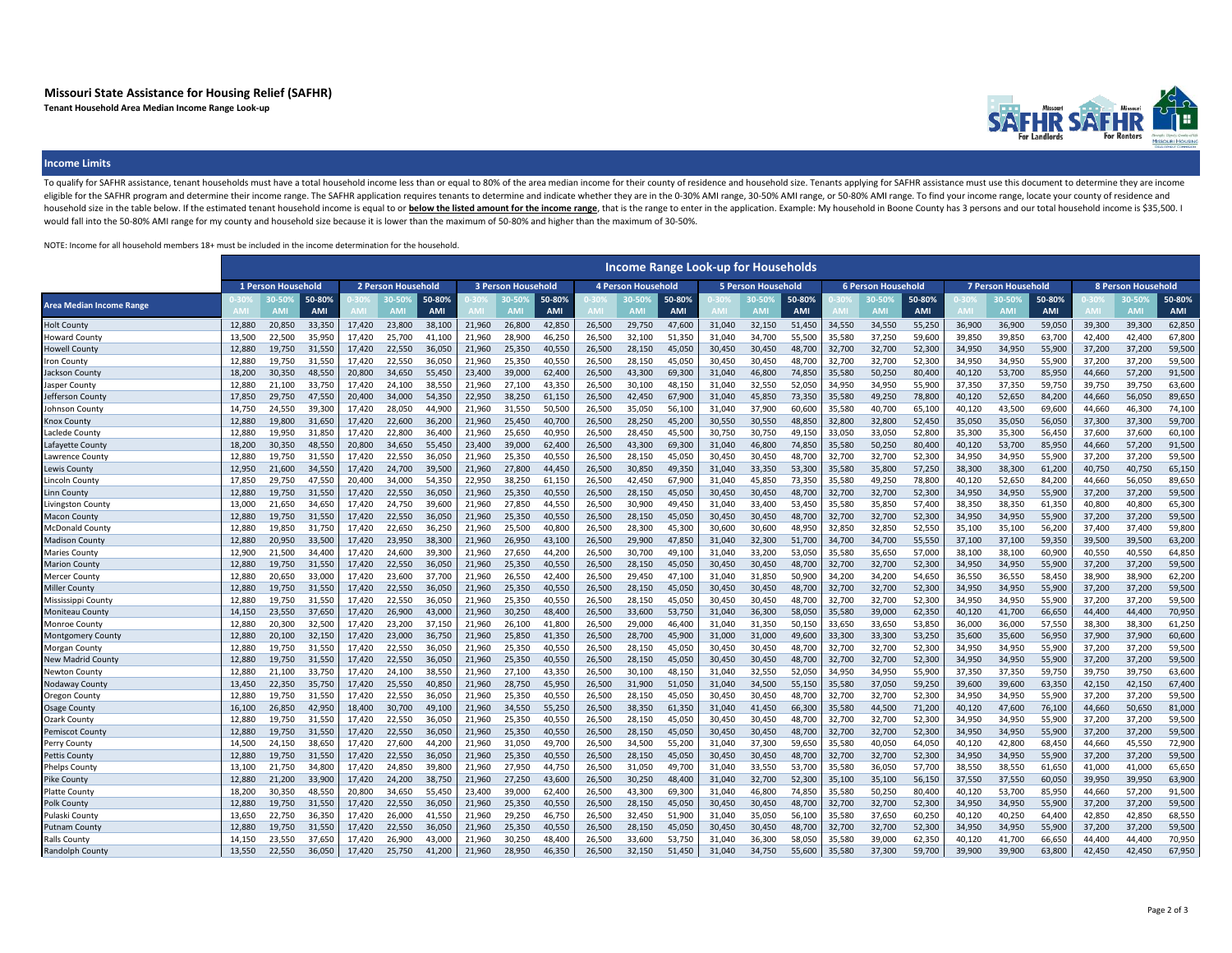# **Missouri State Assistance for Housing Relief (SAFHR)**

**Tenant Household Area Median Income Range Look-up**



### **Income Limits**

To qualify for SAFHR assistance, tenant households must have a total household income less than or equal to 80% of the area median income for their county of residence and household size. Tenants applying for SAFHR assista eligible for the SAFHR program and determine their income range. The SAFHR application requires tenants to determine and indicate whether they are in the 0-30% AMI range, 30-50% AMI range, or 50-80% AMI range. To find your household size in the table below. If the estimated tenant household income is equal to or below the listed amount for the income range, that is the range to enter in the application. Example: My household in Boone County would fall into the 50-80% AMI range for my county and household size because it is lower than the maximum of 50-80% and higher than the maximum of 30-50%.

NOTE: Income for all household members 18+ must be included in the income determination for the household.

|                                 |                    |                           |                      |                    |        |                      |                           |                          |                      |        |                           |                      |                           | <b>Income Range Look-up for Households</b> |                      |                           |                     |                      |                           |                      |                      |                           |             |               |
|---------------------------------|--------------------|---------------------------|----------------------|--------------------|--------|----------------------|---------------------------|--------------------------|----------------------|--------|---------------------------|----------------------|---------------------------|--------------------------------------------|----------------------|---------------------------|---------------------|----------------------|---------------------------|----------------------|----------------------|---------------------------|-------------|---------------|
|                                 | 1 Person Household |                           |                      | 2 Person Household |        |                      | <b>3 Person Household</b> |                          |                      |        | <b>4 Person Household</b> |                      | <b>5 Person Household</b> |                                            |                      | <b>6 Person Household</b> |                     |                      | <b>7 Person Household</b> |                      |                      | <b>8 Person Household</b> |             |               |
| <b>Area Median Income Range</b> |                    | <b>0.50</b><br><b>AMI</b> | 50-80%<br><b>AMI</b> |                    | n.sng  | 50-80%<br><b>AMI</b> |                           | <b>0.50</b><br><b>AM</b> | 50-80%<br><b>AMI</b> |        | 10-50%<br><b>AMI</b>      | 50-80%<br><b>AMI</b> |                           | 0-50%<br><b>AMI</b>                        | 50-80%<br><b>AMI</b> |                           | 0-50%<br><b>AMI</b> | 50-80%<br><b>AMI</b> |                           | 10-50%<br><b>AMI</b> | 50-80%<br><b>AMI</b> |                           | <b>0.50</b> | 50-80%<br>AMI |
| <b>Holt County</b>              | 12.880             | 20,850                    | 33,350               | 17,420             | 23,800 | 38,100               | 21,960                    | 26,800                   | 42,850               | 26,500 | 29,750                    | 47,600               | 31,040                    | 32,150                                     | 51,450               | 34,550                    | 34,550              | 55,250               | 36,900                    | 36,900               | 59,050               | 39,300                    | 39,300      | 62,850        |
| <b>Howard County</b>            | 13.500             | 22,500                    | 35,950               | 17,420             | 25,700 | 41,100               | 21,960                    | 28,900                   | 46,250               | 26,500 | 32,100                    | 51,350               | 31,040                    | 34,700                                     | 55,500               | 35,580                    | 37,250              | 59,600               | 39,850                    | 39,850               | 63,700               | 42,400                    | 42,400      | 67,800        |
| Howell County                   | 12.880             | 19,750                    | 31.550               | 17.420             | 22,550 | 36,050               | 21,960                    | 25,350                   | 40,550               | 26.500 | 28,150                    | 45.050               | 30.450                    | 30,450                                     | 48,700               | 32,700                    | 32,700              | 52,300               | 34.950                    | 34,950               | 55,900               | 37,200                    | 37,200      | 59,500        |
| Iron County                     | 12.880             | 19,750                    | 31,550               | 17,420             | 22,550 | 36,050               | 21,960                    | 25,350                   | 40,550               | 26,500 | 28,150                    | 45,050               | 30,450                    | 30,450                                     | 48,700               | 32,700                    | 32,700              | 52,300               | 34,950                    | 34,950               | 55,900               | 37,200                    | 37,200      | 59,500        |
| Jackson County                  | 18.200             | 30,350                    | 48,550               | 20,800             | 34,650 | 55,450               | 23,400                    | 39,000                   | 62,400               | 26,500 | 43,300                    | 69,300               | 31,040                    | 46,800                                     | 74,850               | 35,580                    | 50,250              | 80,400               | 40,120                    | 53,700               | 85,950               | 44,660                    | 57,200      | 91,500        |
| Jasper County                   | 12,880             | 21,100                    | 33,750               | 17,420             | 24,100 | 38,550               | 21,960                    | 27,100                   | 43,350               | 26,500 | 30,100                    | 48,150               | 31,040                    | 32,550                                     | 52,050               | 34,950                    | 34,950              | 55,900               | 37,350                    | 37,350               | 59,750               | 39,750                    | 39,750      | 63,600        |
| Jefferson Count                 | 17.850             | 29,750                    | 47.550               | 20,400             | 34,000 | 54.350               | 22,950                    | 38,250                   | 61.150               | 26,500 | 42,450                    | 67,900               | 31.040                    | 45,850                                     | 73,350               | 35,580                    | 49,250              | 78,800               | 40.120                    | 52,650               | 84,200               | 44.660                    | 56.050      | 89,650        |
| Johnson County                  | 14.750             | 24,550                    | 39,300               | 17,420             | 28,050 | 44,900               | 21,960                    | 31,550                   | 50,500               | 26,500 | 35,050                    | 56,100               | 31,040                    | 37,900                                     | 60,600               | 35,580                    | 40,700              | 65,100               | 40,120                    | 43,500               | 69,600               | 44,660                    | 46,300      | 74,100        |
| <b>Knox Count</b>               | 12.880             | 19,800                    | 31,650               | 17,420             | 22,600 | 36,200               | 21,960                    | 25,450                   | 40,700               | 26,500 | 28,250                    | 45,200               | 30,550                    | 30,550                                     | 48,850               | 32,800                    | 32,800              | 52,450               | 35,050                    | 35,050               | 56,050               | 37,300                    | 37,300      | 59,700        |
| Laclede County                  | 12,880             | 19,950                    | 31,850               | 17,420             | 22,800 | 36,400               | 21,960                    | 25,650                   | 40,950               | 26,500 | 28,450                    | 45,500               | 30,750                    | 30,750                                     | 49,150               | 33,050                    | 33,050              | 52,800               | 35,300                    | 35,300               | 56,450               | 37,600                    | 37,600      | 60,100        |
| Lafayette Count                 | 18.200             | 30.350                    | 48.550               | 20,800             | 34,650 | 55,450               | 23,400                    | 39,000                   | 62,400               | 26,500 | 43,300                    | 69.300               | 31,040                    | 46,800                                     | 74.850               | 35,580                    | 50,250              | 80,400               | 40,120                    | 53,700               | 85,950               | 44,660                    | 57.200      | 91,500        |
| Lawrence County                 | 12.880             | 19,750                    | 31,550               | 17,420             | 22,550 | 36,050               | 21,960                    | 25,350                   | 40,550               | 26,500 | 28,150                    | 45,050               | 30,450                    | 30,450                                     | 48,700               | 32,700                    | 32,700              | 52,300               | 34.950                    | 34.950               | 55,900               | 37,200                    | 37,200      | 59,500        |
| Lewis County                    | 12.950             | 21,600                    | 34,550               | 17,420             | 24,700 | 39,500               | 21,960                    | 27,800                   | 44,450               | 26,500 | 30,850                    | 49,350               | 31,040                    | 33,350                                     | 53,300               | 35,580                    | 35,800              | 57,250               | 38,300                    | 38,300               | 61,200               | 40,750                    | 40,750      | 65,150        |
| Lincoln County                  | 17.850             | 29.750                    | 47.550               | 20.400             | 34,000 | 54.350               | 22.950                    | 38.250                   | 61.150               | 26.500 | 42,450                    | 67.900               | 31.040                    | 45.850                                     | 73,350               | 35.580                    | 49.250              | 78,800               | 40.120                    | 52,650               | 84.200               | 44.660                    | 56.050      | 89,650        |
| Linn County                     | 12.880             | 19,750                    | 31,550               | 17,420             | 22.550 | 36,050               | 21,960                    | 25,350                   | 40,550               | 26,500 | 28,150                    | 45,050               | 30,450                    | 30,450                                     | 48,700               | 32,700                    | 32,700              | 52,300               | 34,950                    | 34,950               | 55,900               | 37,200                    | 37,200      | 59,500        |
| Livingston County               | 13.000             | 21.650                    | 34.650               | 17.420             | 24,750 | 39,600               | 21,960                    | 27,850                   | 44,550               | 26.500 | 30,900                    | 49,450               | 31.040                    | 33,400                                     | 53,450               | 35,580                    | 35.850              | 57,400               | 38.350                    | 38,350               | 61,350               | 40.800                    | 40.800      | 65,300        |
| Macon County                    | 12,880             | 19,750                    | 31,550               | 17,420             | 22,550 | 36,050               | 21,960                    | 25,350                   | 40,550               | 26,500 | 28,150                    | 45,050               | 30,450                    | 30,450                                     | 48,700               | 32,700                    | 32,700              | 52,300               | 34,950                    | 34,950               | 55,900               | 37,200                    | 37,200      | 59,500        |
| <b>McDonald Count</b>           | 12.880             | 19.850                    | 31.750               | 17.420             | 22.650 | 36.250               | 21.960                    | 25.500                   | 40.800               | 26.500 | 28.300                    | 45.300               | 30.600                    | 30.600                                     | 48.950               | 32.850                    | 32.850              | 52.550               | 35.100                    | 35.100               | 56.200               | 37,400                    | 37.400      | 59.800        |
| Madison County                  | 12.880             | 20,950                    | 33,500               | 17,420             | 23.950 | 38,300               | 21.960                    | 26,950                   | 43,100               | 26,500 | 29,900                    | 47,850               | 31,040                    | 32,300                                     | 51,700               | 34,700                    | 34,700              | 55,550               | 37.100                    | 37,100               | 59,350               | 39,500                    | 39.500      | 63,200        |
| Maries County                   | 12.900             | 21,500                    | 34,400               | 17,420             | 24,600 | 39,300               | 21,960                    | 27,650                   | 44,200               | 26,500 | 30,700                    | 49,100               | 31,040                    | 33,200                                     | 53,050               | 35,580                    | 35,650              | 57,000               | 38,100                    | 38,100               | 60,900               | 40,550                    | 40.550      | 64,850        |
| <b>Marion County</b>            | 12,880             | 19,750                    | 31,550               | 17,420             | 22,550 | 36,050               | 21,960                    | 25,350                   | 40,550               | 26,500 | 28,150                    | 45,050               | 30,450                    | 30,450                                     | 48,700               | 32,700                    | 32,700              | 52,300               | 34,950                    | 34,950               | 55,900               | 37,200                    | 37,200      | 59,500        |
| Mercer County                   | 12.880             | 20.650                    | 33.000               | 17.420             | 23,600 | 37.700               | 21.960                    | 26,550                   | 42.400               | 26,500 | 29,450                    | 47.100               | 31.040                    | 31,850                                     | 50.900               | 34.200                    | 34.200              | 54.650               | 36.550                    | 36,550               | 58,450               | 38,900                    | 38.900      | 62,200        |
| <b>Miller County</b>            | 12,880             | 19,750                    | 31,550               | 17,420             | 22,550 | 36,050               | 21,960                    | 25,350                   | 40,550               | 26,500 | 28,150                    | 45,050               | 30,450                    | 30,450                                     | 48,700               | 32,700                    | 32,700              | 52,300               | 34,950                    | 34,950               | 55,900               | 37,200                    | 37,200      | 59,500        |
| Mississippi County              | 12.880             | 19,750                    | 31,550               | 17,420             | 22,550 | 36,050               | 21,960                    | 25,350                   | 40,550               | 26,500 | 28,150                    | 45,050               | 30,450                    | 30,450                                     | 48,700               | 32,700                    | 32,700              | 52,300               | 34,950                    | 34,950               | 55,900               | 37,200                    | 37,200      | 59,500        |
| Moniteau County                 | 14,150             | 23,550                    | 37,650               | 17,420             | 26,900 | 43,000               | 21,960                    | 30,250                   | 48,400               | 26,500 | 33,600                    | 53,750               | 31,040                    | 36,300                                     | 58,050               | 35,580                    | 39,000              | 62,350               | 40,120                    | 41,700               | 66,650               | 44,400                    | 44,400      | 70,950        |
| Monroe County                   | 12.880             | 20,300                    | 32,500               | 17,420             | 23,200 | 37,150               | 21.960                    | 26,100                   | 41,800               | 26.500 | 29,000                    | 46,400               | 31.040                    | 31,350                                     | 50.150               | 33,650                    | 33,650              | 53,850               | 36.000                    | 36,000               | 57,550               | 38,300                    | 38.300      | 61,250        |
| Montgomery County               | 12,880             | 20,100                    | 32,150               | 17,420             | 23,000 | 36,750               | 21,960                    | 25,850                   | 41,350               | 26,500 | 28,700                    | 45,900               | 31,000                    | 31,000                                     | 49,600               | 33,300                    | 33,300              | 53,250               | 35,600                    | 35,600               | 56,950               | 37,900                    | 37,900      | 60,600        |
| Morgan County                   | 12,880             | 19,750                    | 31,550               | 17,420             | 22,550 | 36,050               | 21,960                    | 25,350                   | 40,550               | 26,500 | 28,150                    | 45,050               | 30,450                    | 30,450                                     | 48,700               | 32,700                    | 32,700              | 52,300               | 34,950                    | 34,950               | 55,900               | 37,200                    | 37,200      | 59,500        |
| New Madrid County               | 12,880             | 19,750                    | 31,550               | 17,420             | 22,550 | 36,050               | 21,960                    | 25,350                   | 40,550               | 26,500 | 28,150                    | 45,050               | 30,450                    | 30,450                                     | 48,700               | 32,700                    | 32,700              | 52,300               | 34,950                    | 34,950               | 55,900               | 37,200                    | 37,200      | 59,500        |
| Newton County                   | 12,880             | 21,100                    | 33,750               | 17,420             | 24,100 | 38,550               | 21,960                    | 27,100                   | 43,350               | 26,500 | 30,100                    | 48,150               | 31,040                    | 32,550                                     | 52,050               | 34,950                    | 34,950              | 55,900               | 37,350                    | 37,350               | 59,750               | 39,750                    | 39,750      | 63,600        |
| Nodaway County                  | 13,450             | 22,350                    | 35,750               | 17,420             | 25,550 | 40,850               | 21,960                    | 28,750                   | 45,950               | 26,500 | 31,900                    | 51,050               | 31,040                    | 34,500                                     | 55,150               | 35,580                    | 37,050              | 59,250               | 39,600                    | 39,600               | 63,350               | 42,150                    | 42,150      | 67,400        |
| Oregon County                   | 12.880             | 19,750                    | 31,550               | 17,420             | 22,550 | 36,050               | 21,960                    | 25,350                   | 40,550               | 26,500 | 28,150                    | 45,050               | 30,450                    | 30,450                                     | 48,700               | 32,700                    | 32,700              | 52,300               | 34,950                    | 34,950               | 55,900               | 37,200                    | 37,200      | 59,500        |
| <b>Osage County</b>             | 16.100             | 26,850                    | 42,950               | 18,400             | 30,700 | 49,100               | 21,960                    | 34,550                   | 55.250               | 26.500 | 38,350                    | 61.350               | 31,040                    | 41,450                                     | 66,300               | 35,580                    | 44,500              | 71,200               | 40,120                    | 47,600               | 76,100               | 44.660                    | 50,650      | 81,000        |
| Ozark County                    | 12.880             | 19.750                    | 31.550               | 17.420             | 22,550 | 36,050               | 21,960                    | 25,350                   | 40,550               | 26.500 | 28,150                    | 45.050               | 30.450                    | 30,450                                     | 48.700               | 32,700                    | 32,700              | 52,300               | 34.950                    | 34,950               | 55,900               | 37,200                    | 37.200      | 59,500        |
| <b>Pemiscot County</b>          | 12.880             | 19,750                    | 31,550               | 17,420             | 22,550 | 36,050               | 21,960                    | 25,350                   | 40,550               | 26,500 | 28,150                    | 45,050               | 30,450                    | 30,450                                     | 48,700               | 32,700                    | 32,700              | 52,300               | 34,950                    | 34,950               | 55,900               | 37,200                    | 37,200      | 59,500        |
| Perry Count                     | 14,500             | 24,150                    | 38,650               | 17,420             | 27,600 | 44,200               | 21,960                    | 31,050                   | 49,700               | 26,500 | 34,500                    | 55,200               | 31,040                    | 37,300                                     | 59,650               | 35,580                    | 40,050              | 64,050               | 40,120                    | 42,800               | 68,450               | 44,660                    | 45,550      | 72,900        |
| Pettis County                   | 12.880             | 19,750                    | 31.550               | 17.420             | 22.550 | 36,050               | 21.960                    | 25,350                   | 40.550               | 26,500 | 28,150                    | 45,050               | 30.450                    | 30,450                                     | 48.700               | 32,700                    | 32,700              | 52,300               | 34.950                    | 34,950               | 55,900               | 37,200                    | 37,200      | 59,500        |
| Phelps County                   | 13.100             | 21,750                    | 34,800               | 17,420             | 24,850 | 39,800               | 21,960                    | 27,950                   | 44,750               | 26,500 | 31,050                    | 49,700               | 31,040                    | 33,550                                     | 53,700               | 35,580                    | 36,050              | 57,700               | 38,550                    | 38,550               | 61,650               | 41,000                    | 41,000      | 65,650        |
| Pike County                     | 12,880             | 21,200                    | 33,900               | 17,420             | 24,200 | 38,750               | 21,960                    | 27,250                   | 43,600               | 26,500 | 30,250                    | 48,400               | 31,040                    | 32,700                                     | 52,300               | 35,100                    | 35,100              | 56,150               | 37,550                    | 37,550               | 60,050               | 39,950                    | 39,950      | 63,900        |
| Platte County                   | 18,200             | 30,350                    | 48,550               | 20,800             | 34,650 | 55,450               | 23,400                    | 39,000                   | 62,400               | 26,500 | 43,300                    | 69,300               | 31,040                    | 46,800                                     | 74,850               | 35,580                    | 50,250              | 80,400               | 40,120                    | 53,700               | 85,950               | 44,660                    | 57,200      | 91,500        |
| Polk Count                      | 12.880             | 19.750                    | 31.550               | 17.420             | 22.550 | 36,050               | 21.960                    | 25,350                   | 40.550               | 26.500 | 28,150                    | 45,050               | 30.450                    | 30,450                                     | 48.700               | 32,700                    | 32,700              | 52,300               | 34.950                    | 34.950               | 55,900               | 37,200                    | 37.200      | 59,500        |
| Pulaski County                  | 13,650             | 22,750                    | 36,350               | 17,420             | 26,000 | 41,550               | 21,960                    | 29,250                   | 46,750               | 26,500 | 32,450                    | 51,900               | 31,040                    | 35,050                                     | 56,100               | 35,580                    | 37,650              | 60,250               | 40,120                    | 40,250               | 64,400               | 42,850                    | 42,850      | 68,550        |
| <b>Putnam County</b>            | 12.880             | 19,750                    | 31,550               | 17,420             | 22,550 | 36,050               | 21,960                    | 25,350                   | 40,550               | 26.500 | 28,150                    | 45,050               | 30.450                    | 30,450                                     | 48,700               | 32,700                    | 32,700              | 52,300               | 34.950                    | 34.950               | 55,900               | 37,200                    | 37,200      | 59,500        |
| Ralls County                    | 14.150             | 23.550                    | 37.650               | 17.420             | 26,900 | 43,000               | 21.960                    | 30.250                   | 48.400               | 26.500 | 33.600                    | 53,750               | 31.040                    | 36,300                                     | 58.050               | 35,580                    | 39,000              | 62,350               | 40.120                    | 41,700               | 66,650               | 44,400                    | 44.400      | 70,950        |
| Randolph County                 | 13.550             | 22.550                    | 36.050               | 17.420             | 25,750 | 41,200               | 21.960                    | 28.950                   | 46.350               | 26.500 | 32.150                    | 51.450               | 31.040                    | 34.750                                     | 55.600               | 35.580                    | 37.300              | 59.700               | 39,900                    | 39.900               | 63,800               | 42.450                    | 42.450      | 67.950        |